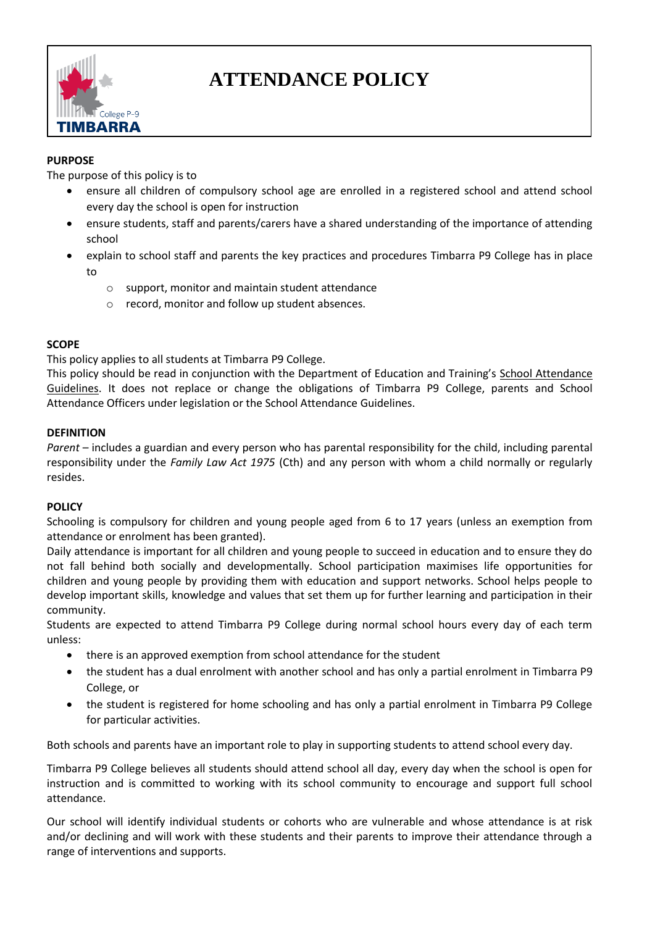

# **ATTENDANCE POLICY**

# **PURPOSE**

The purpose of this policy is to

- ensure all children of compulsory school age are enrolled in a registered school and attend school every day the school is open for instruction
- ensure students, staff and parents/carers have a shared understanding of the importance of attending school
- explain to school staff and parents the key practices and procedures Timbarra P9 College has in place to
	- o support, monitor and maintain student attendance
	- o record, monitor and follow up student absences.

### **SCOPE**

This policy applies to all students at Timbarra P9 College.

This policy should be read in conjunction with the Department of Education and Training's [School Attendance](http://www.education.vic.gov.au/school/teachers/studentmanagement/Pages/attendance.aspx)  [Guidelines.](http://www.education.vic.gov.au/school/teachers/studentmanagement/Pages/attendance.aspx) It does not replace or change the obligations of Timbarra P9 College, parents and School Attendance Officers under legislation or the School Attendance Guidelines.

### **DEFINITION**

*Parent* – includes a guardian and every person who has parental responsibility for the child, including parental responsibility under the *Family Law Act 1975* (Cth) and any person with whom a child normally or regularly resides.

#### **POLICY**

Schooling is compulsory for children and young people aged from 6 to 17 years (unless an exemption from attendance or enrolment has been granted).

Daily attendance is important for all children and young people to succeed in education and to ensure they do not fall behind both socially and developmentally. School participation maximises life opportunities for children and young people by providing them with education and support networks. School helps people to develop important skills, knowledge and values that set them up for further learning and participation in their community.

Students are expected to attend Timbarra P9 College during normal school hours every day of each term unless:

- there is an approved exemption from school attendance for the student
- the student has a dual enrolment with another school and has only a partial enrolment in Timbarra P9 College, or
- the student is registered for home schooling and has only a partial enrolment in Timbarra P9 College for particular activities.

Both schools and parents have an important role to play in supporting students to attend school every day.

Timbarra P9 College believes all students should attend school all day, every day when the school is open for instruction and is committed to working with its school community to encourage and support full school attendance.

Our school will identify individual students or cohorts who are vulnerable and whose attendance is at risk and/or declining and will work with these students and their parents to improve their attendance through a range of interventions and supports.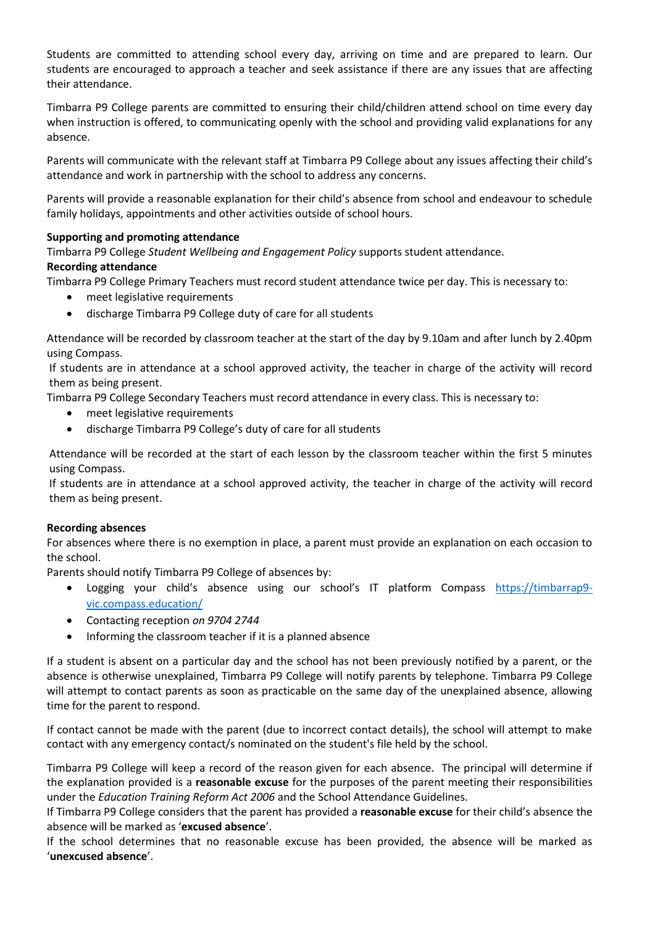Students are committed to attending school every day, arriving on time and are prepared to learn. Our students are encouraged to approach a teacher and seek assistance if there are any issues that are affecting their attendance.

Timbarra P9 College parents are committed to ensuring their child/children attend school on time every day when instruction is offered, to communicating openly with the school and providing valid explanations for any absence.

Parents will communicate with the relevant staff at Timbarra P9 College about any issues affecting their child's attendance and work in partnership with the school to address any concerns.

Parents will provide a reasonable explanation for their child's absence from school and endeavour to schedule family holidays, appointments and other activities outside of school hours.

### **Supporting and promoting attendance**

Timbarra P9 College *Student Wellbeing and Engagement Policy* supports student attendance.

# **Recording attendance**

Timbarra P9 College Primary Teachers must record student attendance twice per day. This is necessary to:

- meet legislative requirements
- discharge Timbarra P9 College duty of care for all students

Attendance will be recorded by classroom teacher at the start of the day by 9.10am and after lunch by 2.40pm using Compass.

If students are in attendance at a school approved activity, the teacher in charge of the activity will record them as being present.

Timbarra P9 College Secondary Teachers must record attendance in every class. This is necessary to:

- meet legislative requirements
- discharge Timbarra P9 College's duty of care for all students

Attendance will be recorded at the start of each lesson by the classroom teacher within the first 5 minutes using Compass.

If students are in attendance at a school approved activity, the teacher in charge of the activity will record them as being present.

#### **Recording absences**

For absences where there is no exemption in place, a parent must provide an explanation on each occasion to the school.

Parents should notify Timbarra P9 College of absences by:

- Logging your child's absence using our school's IT platform Compass [https://timbarrap9](https://timbarrap9-vic.compass.education/) [vic.compass.education/](https://timbarrap9-vic.compass.education/)
- Contacting reception *on 9704 2744*
- Informing the classroom teacher if it is a planned absence

If a student is absent on a particular day and the school has not been previously notified by a parent, or the absence is otherwise unexplained, Timbarra P9 College will notify parents by telephone. Timbarra P9 College will attempt to contact parents as soon as practicable on the same day of the unexplained absence, allowing time for the parent to respond.

If contact cannot be made with the parent (due to incorrect contact details), the school will attempt to make contact with any emergency contact/s nominated on the student's file held by the school.

Timbarra P9 College will keep a record of the reason given for each absence. The principal will determine if the explanation provided is a **reasonable excuse** for the purposes of the parent meeting their responsibilities under the *Education Training Reform Act 2006* and the School Attendance Guidelines.

If Timbarra P9 College considers that the parent has provided a **reasonable excuse** for their child's absence the absence will be marked as '**excused absence**'.

If the school determines that no reasonable excuse has been provided, the absence will be marked as '**unexcused absence**'.